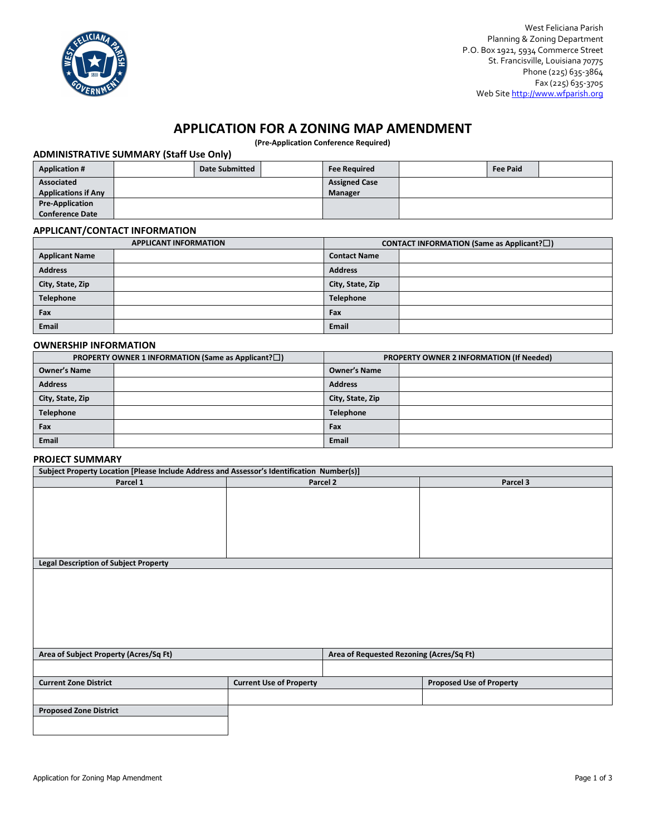

# **APPLICATION FOR A ZONING MAP AMENDMENT**

**(Pre-Application Conference Required)**

## **ADMINISTRATIVE SUMMARY (Staff Use Only)**

| <b>Application #</b>       |  | <b>Date Submitted</b> |                      | <b>Fee Required</b> |  | <b>Fee Paid</b> |  |
|----------------------------|--|-----------------------|----------------------|---------------------|--|-----------------|--|
| Associated                 |  |                       | <b>Assigned Case</b> |                     |  |                 |  |
| <b>Applications if Any</b> |  |                       | Manager              |                     |  |                 |  |
| <b>Pre-Application</b>     |  |                       |                      |                     |  |                 |  |
| <b>Conference Date</b>     |  |                       |                      |                     |  |                 |  |

#### **APPLICANT/CONTACT INFORMATION**

| <b>APPLICANT INFORMATION</b> |  | <b>CONTACT INFORMATION (Same as Applicant?<math>\square</math>)</b> |  |  |
|------------------------------|--|---------------------------------------------------------------------|--|--|
| <b>Applicant Name</b>        |  | <b>Contact Name</b>                                                 |  |  |
| <b>Address</b>               |  | <b>Address</b>                                                      |  |  |
| City, State, Zip             |  | City, State, Zip                                                    |  |  |
| Telephone                    |  | <b>Telephone</b>                                                    |  |  |
| Fax                          |  | Fax                                                                 |  |  |
| Email                        |  | <b>Email</b>                                                        |  |  |

## **OWNERSHIP INFORMATION**

| PROPERTY OWNER 1 INFORMATION (Same as Applicant?□) |  | PROPERTY OWNER 2 INFORMATION (If Needed) |  |
|----------------------------------------------------|--|------------------------------------------|--|
| <b>Owner's Name</b>                                |  | <b>Owner's Name</b>                      |  |
| <b>Address</b>                                     |  | <b>Address</b>                           |  |
| City, State, Zip                                   |  | City, State, Zip                         |  |
| Telephone                                          |  | <b>Telephone</b>                         |  |
| Fax                                                |  | Fax                                      |  |
| <b>Email</b>                                       |  | <b>Email</b>                             |  |

## **PROJECT SUMMARY**

| Subject Property Location [Please Include Address and Assessor's Identification Number(s)] |                                |                                          |                                 |  |  |
|--------------------------------------------------------------------------------------------|--------------------------------|------------------------------------------|---------------------------------|--|--|
| Parcel 1                                                                                   |                                | Parcel 2                                 | Parcel 3                        |  |  |
|                                                                                            |                                |                                          |                                 |  |  |
|                                                                                            |                                |                                          |                                 |  |  |
|                                                                                            |                                |                                          |                                 |  |  |
|                                                                                            |                                |                                          |                                 |  |  |
|                                                                                            |                                |                                          |                                 |  |  |
|                                                                                            |                                |                                          |                                 |  |  |
| <b>Legal Description of Subject Property</b>                                               |                                |                                          |                                 |  |  |
|                                                                                            |                                |                                          |                                 |  |  |
|                                                                                            |                                |                                          |                                 |  |  |
|                                                                                            |                                |                                          |                                 |  |  |
|                                                                                            |                                |                                          |                                 |  |  |
|                                                                                            |                                |                                          |                                 |  |  |
|                                                                                            |                                |                                          |                                 |  |  |
|                                                                                            |                                |                                          |                                 |  |  |
| Area of Subject Property (Acres/Sq Ft)                                                     |                                | Area of Requested Rezoning (Acres/Sq Ft) |                                 |  |  |
|                                                                                            |                                |                                          |                                 |  |  |
| <b>Current Zone District</b>                                                               | <b>Current Use of Property</b> |                                          | <b>Proposed Use of Property</b> |  |  |
|                                                                                            |                                |                                          |                                 |  |  |
| <b>Proposed Zone District</b>                                                              |                                |                                          |                                 |  |  |
|                                                                                            |                                |                                          |                                 |  |  |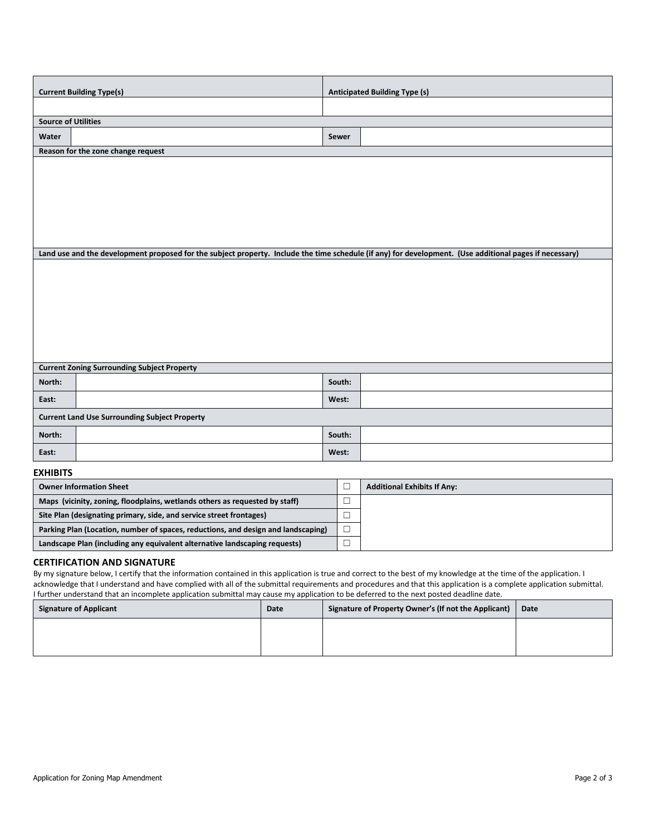| <b>Current Building Type(s)</b>                    |                                                      | <b>Anticipated Building Type (s)</b>                                                                                                                    |  |  |
|----------------------------------------------------|------------------------------------------------------|---------------------------------------------------------------------------------------------------------------------------------------------------------|--|--|
|                                                    |                                                      |                                                                                                                                                         |  |  |
| <b>Source of Utilities</b>                         |                                                      |                                                                                                                                                         |  |  |
| Water                                              | Sewer                                                |                                                                                                                                                         |  |  |
| Reason for the zone change request                 |                                                      |                                                                                                                                                         |  |  |
|                                                    |                                                      |                                                                                                                                                         |  |  |
|                                                    |                                                      |                                                                                                                                                         |  |  |
|                                                    |                                                      |                                                                                                                                                         |  |  |
|                                                    |                                                      |                                                                                                                                                         |  |  |
|                                                    |                                                      |                                                                                                                                                         |  |  |
|                                                    |                                                      |                                                                                                                                                         |  |  |
|                                                    |                                                      | Land use and the development proposed for the subject property. Include the time schedule (if any) for development. (Use additional pages if necessary) |  |  |
|                                                    |                                                      |                                                                                                                                                         |  |  |
|                                                    |                                                      |                                                                                                                                                         |  |  |
|                                                    |                                                      |                                                                                                                                                         |  |  |
|                                                    |                                                      |                                                                                                                                                         |  |  |
|                                                    |                                                      |                                                                                                                                                         |  |  |
|                                                    |                                                      |                                                                                                                                                         |  |  |
|                                                    |                                                      |                                                                                                                                                         |  |  |
| <b>Current Zoning Surrounding Subject Property</b> |                                                      |                                                                                                                                                         |  |  |
| North:                                             | South:                                               |                                                                                                                                                         |  |  |
| East:                                              | West:                                                |                                                                                                                                                         |  |  |
|                                                    | <b>Current Land Use Surrounding Subject Property</b> |                                                                                                                                                         |  |  |
| North:                                             | South:                                               |                                                                                                                                                         |  |  |
| East:                                              | West:                                                |                                                                                                                                                         |  |  |
| -*********                                         |                                                      |                                                                                                                                                         |  |  |

#### **EXHIBITS**

| <b>Owner Information Sheet</b>                                                    | <b>Additional Exhibits If Any:</b> |
|-----------------------------------------------------------------------------------|------------------------------------|
| Maps (vicinity, zoning, floodplains, wetlands others as requested by staff)       |                                    |
| Site Plan (designating primary, side, and service street frontages)               |                                    |
| Parking Plan (Location, number of spaces, reductions, and design and landscaping) |                                    |
| Landscape Plan (including any equivalent alternative landscaping requests)        |                                    |

### **CERTIFICATION AND SIGNATURE**

By my signature below, I certify that the information contained in this application is true and correct to the best of my knowledge at the time of the application. I acknowledge that I understand and have complied with all of the submittal requirements and procedures and that this application is a complete application submittal. I further understand that an incomplete application submittal may cause my application to be deferred to the next posted deadline date.

| Signature of Applicant | Date | Signature of Property Owner's (If not the Applicant) | Date |
|------------------------|------|------------------------------------------------------|------|
|                        |      |                                                      |      |
|                        |      |                                                      |      |